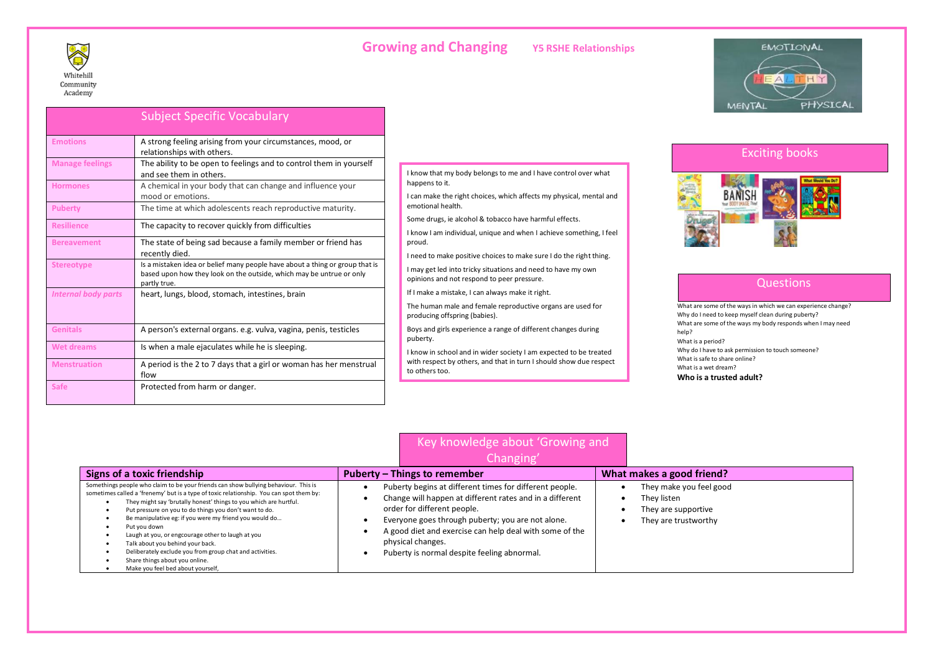# **Growing and Changing Y5 RSHE Relationships**



| <b>EMOTIONAL</b> |          |
|------------------|----------|
|                  |          |
|                  |          |
|                  |          |
| <b>MENTAL</b>    | PHYSICAL |

### Subject Specific Vocabulary **Emotions** A strong feeling arising from your circumstances, mood, or relationships with others. **Manage feelings** The ability to be open to feelings and to control them in yourself and see them in others. **Hormones A** chemical in your body that can change and influence your mood or emotions. **Puberty** The time at which adolescents reach reproductive maturity. **Resilience** The capacity to recover quickly from difficulties **Bereavement The state of being sad because a family member or friend has** recently died. **Stereotype Is a mistaken idea or belief many people have about a thing or group that is** based upon how they look on the outside, which may be untrue or only partly true. *Internal body parts* heart, lungs, blood, stomach, intestines, brain Genitals **A** person's external organs. e.g. vulva, vagina, penis, testicles Wet dreams **If all is when a male ejaculates while he is sleeping. Menstruation A period is the 2 to 7 days that a girl or woman has her menstrual** flow **Safe Protected from harm or danger.**

#### I know that my body belongs to me and I have control over what happens to it.

I can make the right choices, which affects my physical, mental and emotional health.

Some drugs, ie alcohol & tobacco have harmful effects.

I know I am individual, unique and when I achieve something, I feel proud.

I need to make positive choices to make sure I do the right thing.

I may get led into tricky situations and need to have my own opinions and not respond to peer pressure.

If I make a mistake, I can always make it right.

The human male and female reproductive organs are used for producing offspring (babies).

Boys and girls experience a range of different changes during puberty.

I know in school and in wider society I am expected to be treated with respect by others, and that in turn I should show due respect to others too.

Key knowledge about 'Growing and



### **Questions**

What are some of the ways in which we can experience change? Why do I need to keep myself clean during puberty? What are some of the ways my body responds when I may need help? What is a period? Why do I have to ask permission to touch someone? What is safe to share online? What is a wet dream? **Who is a trusted adult?**

| Changin                                                                                                                                                                                                                                                                                                                                                                                                                                                                                                                                                                        |                                                                                                                                                                                                                                                                                                                                        |                                                                                       |
|--------------------------------------------------------------------------------------------------------------------------------------------------------------------------------------------------------------------------------------------------------------------------------------------------------------------------------------------------------------------------------------------------------------------------------------------------------------------------------------------------------------------------------------------------------------------------------|----------------------------------------------------------------------------------------------------------------------------------------------------------------------------------------------------------------------------------------------------------------------------------------------------------------------------------------|---------------------------------------------------------------------------------------|
| Signs of a toxic friendship                                                                                                                                                                                                                                                                                                                                                                                                                                                                                                                                                    | Puberty – Things to remember                                                                                                                                                                                                                                                                                                           | What makes a good friend?                                                             |
| Somethings people who claim to be your friends can show bullying behaviour. This is<br>sometimes called a 'frenemy' but is a type of toxic relationship. You can spot them by:<br>They might say 'brutally honest' things to you which are hurtful.<br>Put pressure on you to do things you don't want to do.<br>Be manipulative eg: if you were my friend you would do<br>Put vou down<br>Laugh at you, or engcourage other to laugh at you<br>Talk about you behind your back.<br>Deliberately exclude you from group chat and activities.<br>Share things about you online. | Puberty begins at different times for different people.<br>Change will happen at different rates and in a different<br>order for different people.<br>Everyone goes through puberty; you are not alone.<br>A good diet and exercise can help deal with some of the<br>physical changes.<br>Puberty is normal despite feeling abnormal. | They make you feel good<br>They listen<br>They are supportive<br>They are trustworthy |

## • Share things about you online. • Make you feel bed about yourself,